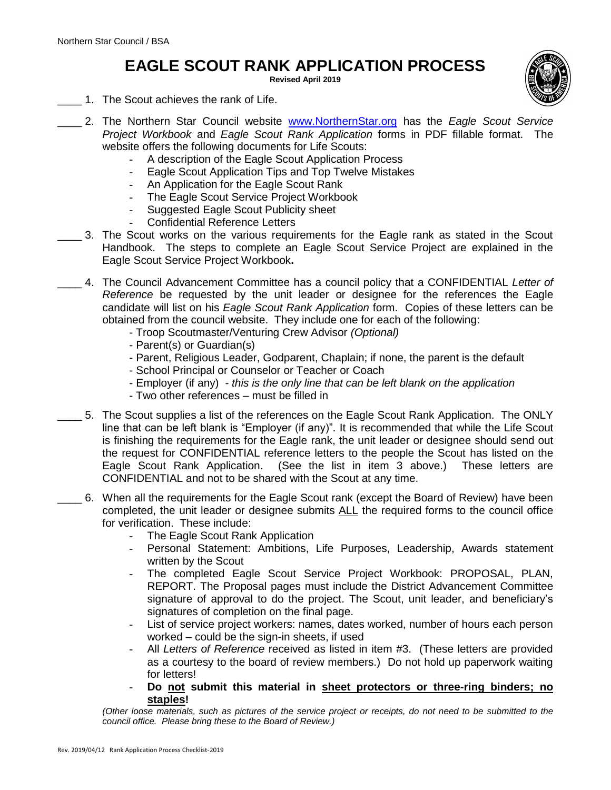## **EAGLE SCOUT RANK APPLICATION PROCESS**

**Revised April 2019**

- 1. The Scout achieves the rank of Life.
- \_\_\_\_ 2. The Northern Star Council website [www.NorthernStar.org](http://www.northernstar.org/) has the *Eagle Scout Service Project Workbook* and *Eagle Scout Rank Application* forms in PDF fillable format. The website offers the following documents for Life Scouts:
	- A description of the Eagle Scout Application Process
	- Eagle Scout Application Tips and Top Twelve Mistakes
	- An Application for the Eagle Scout Rank
	- The Eagle Scout Service Project Workbook
	- Suggested Eagle Scout Publicity sheet
	- Confidential Reference Letters
- \_\_\_\_ 3. The Scout works on the various requirements for the Eagle rank as stated in the Scout Handbook. The steps to complete an Eagle Scout Service Project are explained in the Eagle Scout Service Project Workbook**.**
- \_\_\_\_ 4. The Council Advancement Committee has a council policy that a CONFIDENTIAL *Letter of Reference* be requested by the unit leader or designee for the references the Eagle candidate will list on his *Eagle Scout Rank Application* form. Copies of these letters can be obtained from the council website. They include one for each of the following:
	- Troop Scoutmaster/Venturing Crew Advisor *(Optional)*
	- Parent(s) or Guardian(s)
	- Parent, Religious Leader, Godparent, Chaplain; if none, the parent is the default
	- School Principal or Counselor or Teacher or Coach
	- Employer (if any) *- this is the only line that can be left blank on the application*
	- Two other references must be filled in
	- \_\_\_\_ 5. The Scout supplies a list of the references on the Eagle Scout Rank Application. The ONLY line that can be left blank is "Employer (if any)". It is recommended that while the Life Scout is finishing the requirements for the Eagle rank, the unit leader or designee should send out the request for CONFIDENTIAL reference letters to the people the Scout has listed on the Eagle Scout Rank Application. (See the list in item 3 above.) These letters are CONFIDENTIAL and not to be shared with the Scout at any time.
	- \_\_\_\_ 6. When all the requirements for the Eagle Scout rank (except the Board of Review) have been completed, the unit leader or designee submits ALL the required forms to the council office for verification. These include:
		- The Eagle Scout Rank Application
		- Personal Statement: Ambitions, Life Purposes, Leadership, Awards statement written by the Scout
		- The completed Eagle Scout Service Project Workbook: PROPOSAL, PLAN, REPORT. The Proposal pages must include the District Advancement Committee signature of approval to do the project. The Scout, unit leader, and beneficiary's signatures of completion on the final page.
		- List of service project workers: names, dates worked, number of hours each person worked – could be the sign-in sheets, if used
		- All *Letters of Reference* received as listed in item #3. (These letters are provided as a courtesy to the board of review members.) Do not hold up paperwork waiting for letters!
		- **Do not submit this material in sheet protectors or three-ring binders; no staples!**

*(Other loose materials, such as pictures of the service project or receipts, do not need to be submitted to the council office. Please bring these to the Board of Review.)*